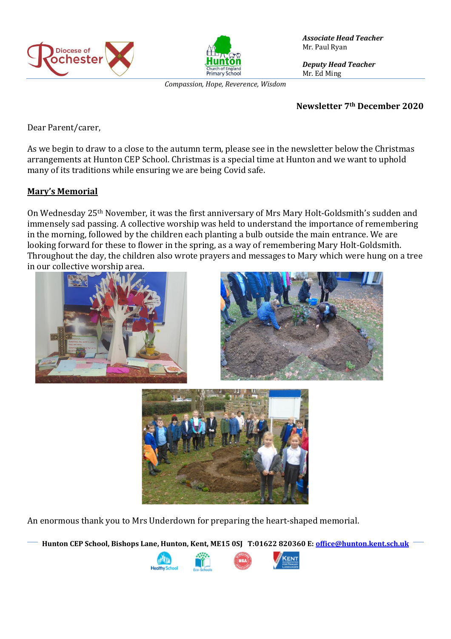



*Compassion, Hope, Reverence, Wisdom*

*Associate Head Teacher* Mr. Paul Ryan

*Deputy Head Teacher* Mr. Ed Ming

#### **Newsletter 7th December 2020**

Dear Parent/carer,

As we begin to draw to a close to the autumn term, please see in the newsletter below the Christmas arrangements at Hunton CEP School. Christmas is a special time at Hunton and we want to uphold many of its traditions while ensuring we are being Covid safe.

## **Mary's Memorial**

On Wednesday 25th November, it was the first anniversary of Mrs Mary Holt-Goldsmith's sudden and immensely sad passing. A collective worship was held to understand the importance of remembering in the morning, followed by the children each planting a bulb outside the main entrance. We are looking forward for these to flower in the spring, as a way of remembering Mary Holt-Goldsmith. Throughout the day, the children also wrote prayers and messages to Mary which were hung on a tree in our collective worship area.







An enormous thank you to Mrs Underdown for preparing the heart-shaped memorial.

**Hunton CEP School, Bishops Lane, Hunton, Kent, ME15 0SJ T:01622 820360 E[: office@hunton.kent.sch.uk](mailto:office@hunton.kent.sch.uk)**

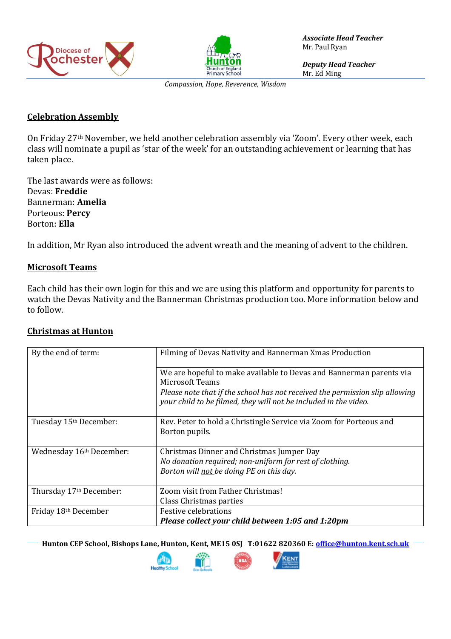



*Associate Head Teacher* Mr. Paul Ryan

*Deputy Head Teacher* Mr. Ed Ming

*Compassion, Hope, Reverence, Wisdom*

#### **Celebration Assembly**

On Friday 27th November, we held another celebration assembly via 'Zoom'. Every other week, each class will nominate a pupil as 'star of the week' for an outstanding achievement or learning that has taken place.

The last awards were as follows: Devas: **Freddie** Bannerman: **Amelia** Porteous: **Percy** Borton: **Ella**

In addition, Mr Ryan also introduced the advent wreath and the meaning of advent to the children.

## **Microsoft Teams**

Each child has their own login for this and we are using this platform and opportunity for parents to watch the Devas Nativity and the Bannerman Christmas production too. More information below and to follow.

## **Christmas at Hunton**

| By the end of term:      | Filming of Devas Nativity and Bannerman Xmas Production                                                                                          |
|--------------------------|--------------------------------------------------------------------------------------------------------------------------------------------------|
|                          | We are hopeful to make available to Devas and Bannerman parents via<br><b>Microsoft Teams</b>                                                    |
|                          | Please note that if the school has not received the permission slip allowing<br>your child to be filmed, they will not be included in the video. |
|                          |                                                                                                                                                  |
| Tuesday 15th December:   | Rev. Peter to hold a Christingle Service via Zoom for Porteous and                                                                               |
|                          | Borton pupils.                                                                                                                                   |
| Wednesday 16th December: | Christmas Dinner and Christmas Jumper Day                                                                                                        |
|                          | No donation required; non-uniform for rest of clothing.                                                                                          |
|                          | Borton will not be doing PE on this day.                                                                                                         |
| Thursday 17th December:  | Zoom visit from Father Christmas!                                                                                                                |
|                          | Class Christmas parties                                                                                                                          |
| Friday 18th December     | <b>Festive celebrations</b>                                                                                                                      |
|                          | Please collect your child between 1:05 and 1:20pm                                                                                                |

**Hunton CEP School, Bishops Lane, Hunton, Kent, ME15 0SJ T:01622 820360 E[: office@hunton.kent.sch.uk](mailto:office@hunton.kent.sch.uk)**